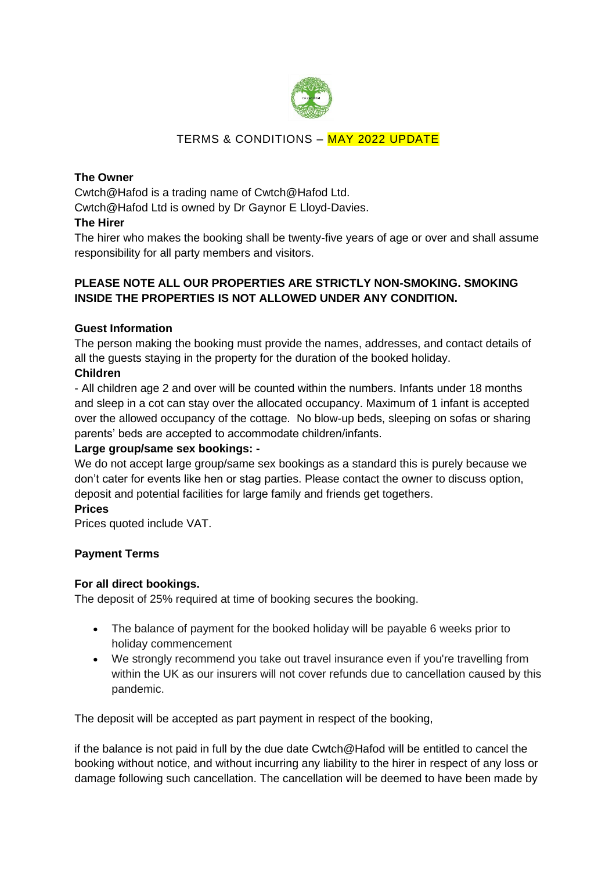

# TERMS & CONDITIONS – MAY 2022 UPDATE

## **The Owner**

Cwtch@Hafod is a trading name of Cwtch@Hafod Ltd. Cwtch@Hafod Ltd is owned by Dr Gaynor E Lloyd-Davies.

#### **The Hirer**

The hirer who makes the booking shall be twenty-five years of age or over and shall assume responsibility for all party members and visitors.

## **PLEASE NOTE ALL OUR PROPERTIES ARE STRICTLY NON-SMOKING. SMOKING INSIDE THE PROPERTIES IS NOT ALLOWED UNDER ANY CONDITION.**

### **Guest Information**

The person making the booking must provide the names, addresses, and contact details of all the guests staying in the property for the duration of the booked holiday.

### **Children**

- All children age 2 and over will be counted within the numbers. Infants under 18 months and sleep in a cot can stay over the allocated occupancy. Maximum of 1 infant is accepted over the allowed occupancy of the cottage. No blow-up beds, sleeping on sofas or sharing parents' beds are accepted to accommodate children/infants.

#### **Large group/same sex bookings: -**

We do not accept large group/same sex bookings as a standard this is purely because we don't cater for events like hen or stag parties. Please contact the owner to discuss option, deposit and potential facilities for large family and friends get togethers.

#### **Prices**

Prices quoted include VAT.

# **Payment Terms**

#### **For all direct bookings.**

The deposit of 25% required at time of booking secures the booking.

- The balance of payment for the booked holiday will be payable 6 weeks prior to holiday commencement
- We strongly recommend you take out travel insurance even if you're travelling from within the UK as our insurers will not cover refunds due to cancellation caused by this pandemic.

The deposit will be accepted as part payment in respect of the booking,

if the balance is not paid in full by the due date Cwtch@Hafod will be entitled to cancel the booking without notice, and without incurring any liability to the hirer in respect of any loss or damage following such cancellation. The cancellation will be deemed to have been made by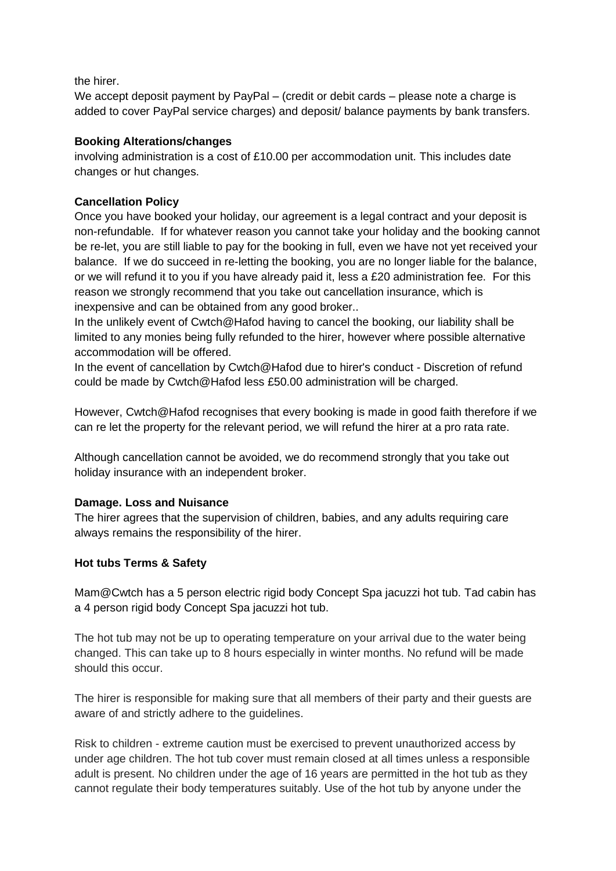the hirer.

We accept deposit payment by PayPal – (credit or debit cards – please note a charge is added to cover PayPal service charges) and deposit/ balance payments by bank transfers.

### **Booking Alterations/changes**

involving administration is a cost of £10.00 per accommodation unit. This includes date changes or hut changes.

## **Cancellation Policy**

Once you have booked your holiday, our agreement is a legal contract and your deposit is non-refundable. If for whatever reason you cannot take your holiday and the booking cannot be re-let, you are still liable to pay for the booking in full, even we have not yet received your balance. If we do succeed in re-letting the booking, you are no longer liable for the balance, or we will refund it to you if you have already paid it, less a £20 administration fee. For this reason we strongly recommend that you take out cancellation insurance, which is inexpensive and can be obtained from any good broker..

In the unlikely event of Cwtch@Hafod having to cancel the booking, our liability shall be limited to any monies being fully refunded to the hirer, however where possible alternative accommodation will be offered.

In the event of cancellation by Cwtch@Hafod due to hirer's conduct - Discretion of refund could be made by Cwtch@Hafod less £50.00 administration will be charged.

However, Cwtch@Hafod recognises that every booking is made in good faith therefore if we can re let the property for the relevant period, we will refund the hirer at a pro rata rate.

Although cancellation cannot be avoided, we do recommend strongly that you take out holiday insurance with an independent broker.

#### **Damage. Loss and Nuisance**

The hirer agrees that the supervision of children, babies, and any adults requiring care always remains the responsibility of the hirer.

#### **Hot tubs Terms & Safety**

Mam@Cwtch has a 5 person electric rigid body Concept Spa jacuzzi hot tub. Tad cabin has a 4 person rigid body Concept Spa jacuzzi hot tub.

The hot tub may not be up to operating temperature on your arrival due to the water being changed. This can take up to 8 hours especially in winter months. No refund will be made should this occur.

The hirer is responsible for making sure that all members of their party and their guests are aware of and strictly adhere to the guidelines.

Risk to children - extreme caution must be exercised to prevent unauthorized access by under age children. The hot tub cover must remain closed at all times unless a responsible adult is present. No children under the age of 16 years are permitted in the hot tub as they cannot regulate their body temperatures suitably. Use of the hot tub by anyone under the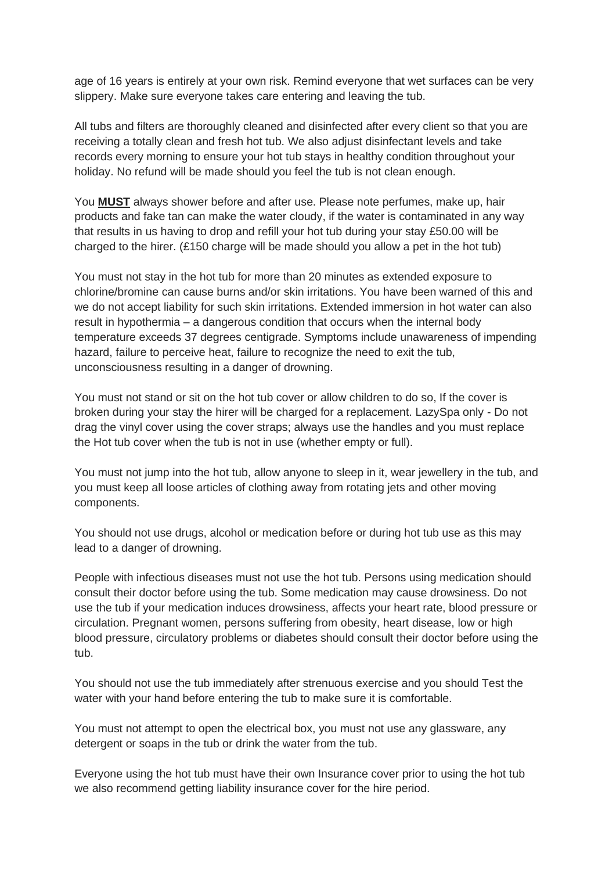age of 16 years is entirely at your own risk. Remind everyone that wet surfaces can be very slippery. Make sure everyone takes care entering and leaving the tub.

All tubs and filters are thoroughly cleaned and disinfected after every client so that you are receiving a totally clean and fresh hot tub. We also adjust disinfectant levels and take records every morning to ensure your hot tub stays in healthy condition throughout your holiday. No refund will be made should you feel the tub is not clean enough.

You **MUST** always shower before and after use. Please note perfumes, make up, hair products and fake tan can make the water cloudy, if the water is contaminated in any way that results in us having to drop and refill your hot tub during your stay £50.00 will be charged to the hirer.  $(E150 \text{ charge will be made should you allow a pet in the hot tub})$ 

You must not stay in the hot tub for more than 20 minutes as extended exposure to chlorine/bromine can cause burns and/or skin irritations. You have been warned of this and we do not accept liability for such skin irritations. Extended immersion in hot water can also result in hypothermia – a dangerous condition that occurs when the internal body temperature exceeds 37 degrees centigrade. Symptoms include unawareness of impending hazard, failure to perceive heat, failure to recognize the need to exit the tub, unconsciousness resulting in a danger of drowning.

You must not stand or sit on the hot tub cover or allow children to do so, If the cover is broken during your stay the hirer will be charged for a replacement. LazySpa only - Do not drag the vinyl cover using the cover straps; always use the handles and you must replace the Hot tub cover when the tub is not in use (whether empty or full).

You must not jump into the hot tub, allow anyone to sleep in it, wear jewellery in the tub, and you must keep all loose articles of clothing away from rotating jets and other moving components.

You should not use drugs, alcohol or medication before or during hot tub use as this may lead to a danger of drowning.

People with infectious diseases must not use the hot tub. Persons using medication should consult their doctor before using the tub. Some medication may cause drowsiness. Do not use the tub if your medication induces drowsiness, affects your heart rate, blood pressure or circulation. Pregnant women, persons suffering from obesity, heart disease, low or high blood pressure, circulatory problems or diabetes should consult their doctor before using the tub.

You should not use the tub immediately after strenuous exercise and you should Test the water with your hand before entering the tub to make sure it is comfortable.

You must not attempt to open the electrical box, you must not use any glassware, any detergent or soaps in the tub or drink the water from the tub.

Everyone using the hot tub must have their own Insurance cover prior to using the hot tub we also recommend getting liability insurance cover for the hire period.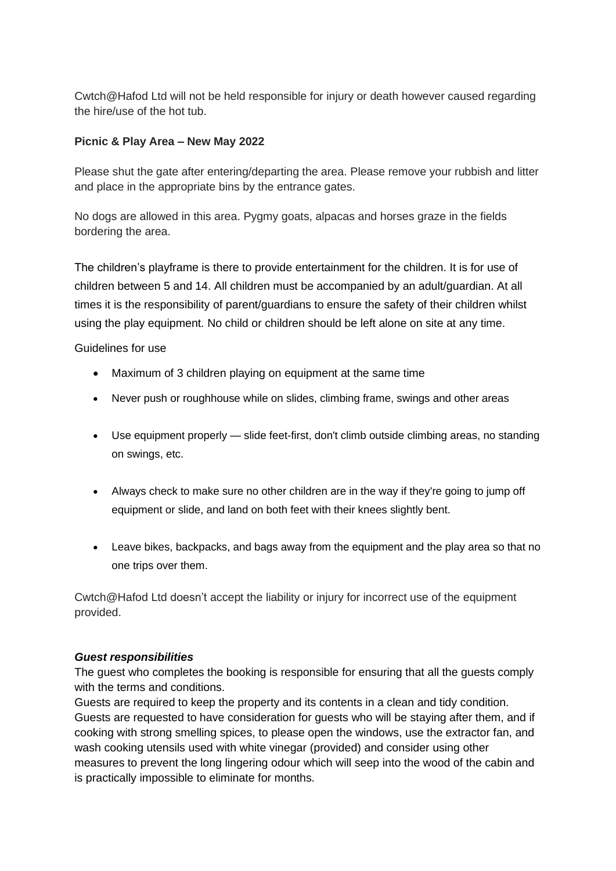Cwtch@Hafod Ltd will not be held responsible for injury or death however caused regarding the hire/use of the hot tub.

### **Picnic & Play Area – New May 2022**

Please shut the gate after entering/departing the area. Please remove your rubbish and litter and place in the appropriate bins by the entrance gates.

No dogs are allowed in this area. Pygmy goats, alpacas and horses graze in the fields bordering the area.

The children's playframe is there to provide entertainment for the children. It is for use of children between 5 and 14. All children must be accompanied by an adult/guardian. At all times it is the responsibility of parent/guardians to ensure the safety of their children whilst using the play equipment. No child or children should be left alone on site at any time.

Guidelines for use

- Maximum of 3 children playing on equipment at the same time
- Never push or roughhouse while on slides, climbing frame, swings and other areas
- Use equipment properly slide feet-first, don't climb outside climbing areas, no standing on swings, etc.
- Always check to make sure no other children are in the way if they're going to jump off equipment or slide, and land on both feet with their knees slightly bent.
- Leave bikes, backpacks, and bags away from the equipment and the play area so that no one trips over them.

Cwtch@Hafod Ltd doesn't accept the liability or injury for incorrect use of the equipment provided.

#### *Guest responsibilities*

The guest who completes the booking is responsible for ensuring that all the guests comply with the terms and conditions.

Guests are required to keep the property and its contents in a clean and tidy condition. Guests are requested to have consideration for guests who will be staying after them, and if cooking with strong smelling spices, to please open the windows, use the extractor fan, and wash cooking utensils used with white vinegar (provided) and consider using other measures to prevent the long lingering odour which will seep into the wood of the cabin and is practically impossible to eliminate for months.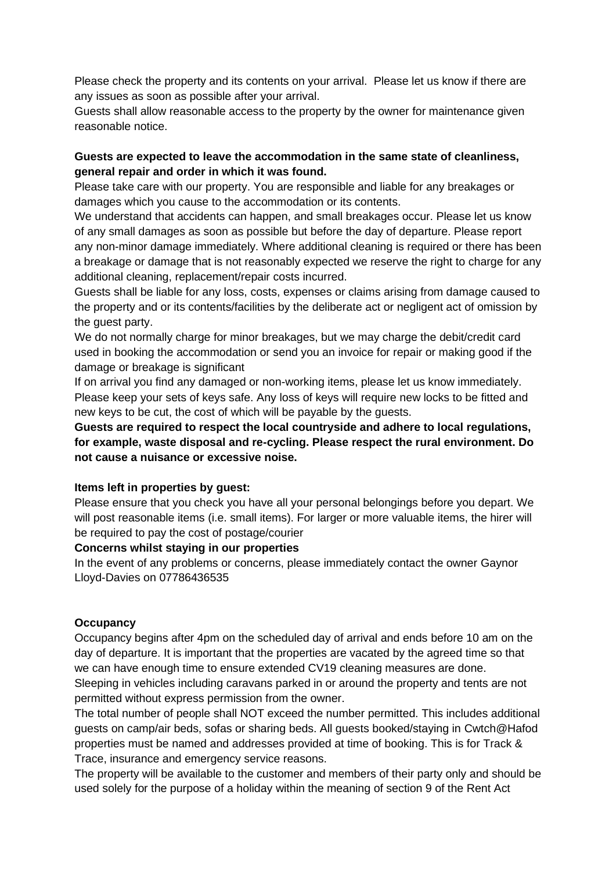Please check the property and its contents on your arrival. Please let us know if there are any issues as soon as possible after your arrival.

Guests shall allow reasonable access to the property by the owner for maintenance given reasonable notice.

### **Guests are expected to leave the accommodation in the same state of cleanliness, general repair and order in which it was found.**

Please take care with our property. You are responsible and liable for any breakages or damages which you cause to the accommodation or its contents.

We understand that accidents can happen, and small breakages occur. Please let us know of any small damages as soon as possible but before the day of departure. Please report any non-minor damage immediately. Where additional cleaning is required or there has been a breakage or damage that is not reasonably expected we reserve the right to charge for any additional cleaning, replacement/repair costs incurred.

Guests shall be liable for any loss, costs, expenses or claims arising from damage caused to the property and or its contents/facilities by the deliberate act or negligent act of omission by the guest party.

We do not normally charge for minor breakages, but we may charge the debit/credit card used in booking the accommodation or send you an invoice for repair or making good if the damage or breakage is significant

If on arrival you find any damaged or non-working items, please let us know immediately. Please keep your sets of keys safe. Any loss of keys will require new locks to be fitted and new keys to be cut, the cost of which will be payable by the guests.

**Guests are required to respect the local countryside and adhere to local regulations, for example, waste disposal and re-cycling. Please respect the rural environment. Do not cause a nuisance or excessive noise.**

#### **Items left in properties by guest:**

Please ensure that you check you have all your personal belongings before you depart. We will post reasonable items (i.e. small items). For larger or more valuable items, the hirer will be required to pay the cost of postage/courier

#### **Concerns whilst staying in our properties**

In the event of any problems or concerns, please immediately contact the owner Gaynor Lloyd-Davies on 07786436535

#### **Occupancy**

Occupancy begins after 4pm on the scheduled day of arrival and ends before 10 am on the day of departure. It is important that the properties are vacated by the agreed time so that we can have enough time to ensure extended CV19 cleaning measures are done. Sleeping in vehicles including caravans parked in or around the property and tents are not permitted without express permission from the owner.

The total number of people shall NOT exceed the number permitted. This includes additional guests on camp/air beds, sofas or sharing beds. All guests booked/staying in Cwtch@Hafod properties must be named and addresses provided at time of booking. This is for Track & Trace, insurance and emergency service reasons.

The property will be available to the customer and members of their party only and should be used solely for the purpose of a holiday within the meaning of section 9 of the Rent Act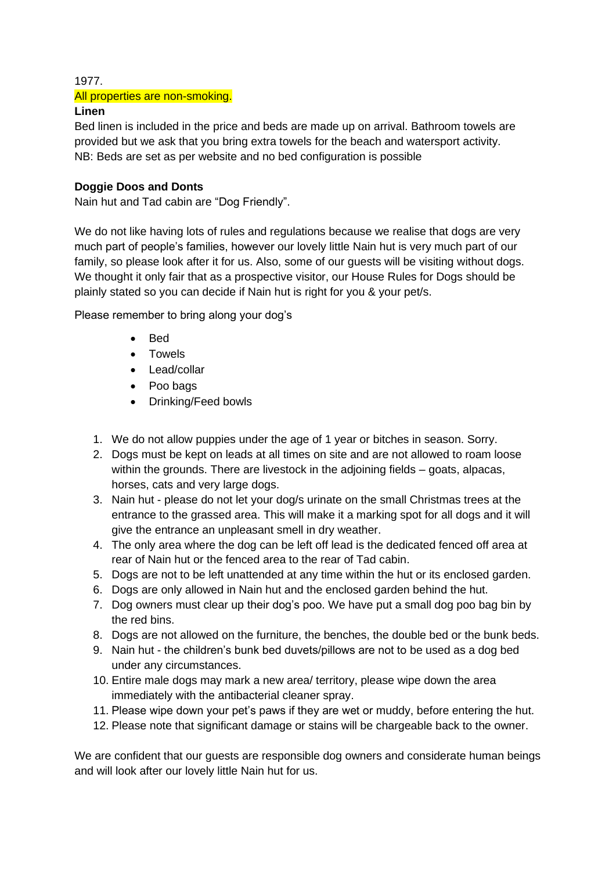#### 1977.

### All properties are non-smoking.

### **Linen**

Bed linen is included in the price and beds are made up on arrival. Bathroom towels are provided but we ask that you bring extra towels for the beach and watersport activity. NB: Beds are set as per website and no bed configuration is possible

### **Doggie Doos and Donts**

Nain hut and Tad cabin are "Dog Friendly".

We do not like having lots of rules and regulations because we realise that dogs are very much part of people's families, however our lovely little Nain hut is very much part of our family, so please look after it for us. Also, some of our guests will be visiting without dogs. We thought it only fair that as a prospective visitor, our House Rules for Dogs should be plainly stated so you can decide if Nain hut is right for you & your pet/s.

Please remember to bring along your dog's

- Bed
- Towels
- Lead/collar
- Poo bags
- Drinking/Feed bowls
- 1. We do not allow puppies under the age of 1 year or bitches in season. Sorry.
- 2. Dogs must be kept on leads at all times on site and are not allowed to roam loose within the grounds. There are livestock in the adjoining fields – goats, alpacas, horses, cats and very large dogs.
- 3. Nain hut please do not let your dog/s urinate on the small Christmas trees at the entrance to the grassed area. This will make it a marking spot for all dogs and it will give the entrance an unpleasant smell in dry weather.
- 4. The only area where the dog can be left off lead is the dedicated fenced off area at rear of Nain hut or the fenced area to the rear of Tad cabin.
- 5. Dogs are not to be left unattended at any time within the hut or its enclosed garden.
- 6. Dogs are only allowed in Nain hut and the enclosed garden behind the hut.
- 7. Dog owners must clear up their dog's poo. We have put a small dog poo bag bin by the red bins.
- 8. Dogs are not allowed on the furniture, the benches, the double bed or the bunk beds.
- 9. Nain hut the children's bunk bed duvets/pillows are not to be used as a dog bed under any circumstances.
- 10. Entire male dogs may mark a new area/ territory, please wipe down the area immediately with the antibacterial cleaner spray.
- 11. Please wipe down your pet's paws if they are wet or muddy, before entering the hut.
- 12. Please note that significant damage or stains will be chargeable back to the owner.

We are confident that our guests are responsible dog owners and considerate human beings and will look after our lovely little Nain hut for us.